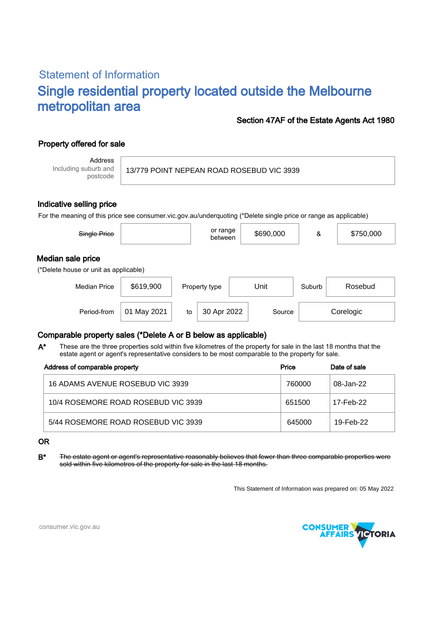# Statement of Information Single residential property located outside the Melbourne metropolitan area

### Section 47AF of the Estate Agents Act 1980

# Property offered for sale

Address Including suburb and postcode

#### 13/779 POINT NEPEAN ROAD ROSEBUD VIC 3939

#### Indicative selling price

For the meaning of this price see consumer.vic.gov.au/underquoting (\*Delete single price or range as applicable)

| Single Price                                               |           |    | or range<br>between |      | \$690,000 | &      | \$750,000 |  |  |
|------------------------------------------------------------|-----------|----|---------------------|------|-----------|--------|-----------|--|--|
| Median sale price<br>(*Delete house or unit as applicable) |           |    |                     |      |           |        |           |  |  |
| <b>Median Price</b>                                        | \$619,900 |    | Property type       | Unit |           | Suburb | Rosebud   |  |  |
| Period-from                                                | May 2021  | to | 30 Apr 2022         |      | Source    |        | Corelogic |  |  |

## Comparable property sales (\*Delete A or B below as applicable)

These are the three properties sold within five kilometres of the property for sale in the last 18 months that the estate agent or agent's representative considers to be most comparable to the property for sale. A\*

| Address of comparable property      | Price  | Date of sale |  |
|-------------------------------------|--------|--------------|--|
| 16 ADAMS AVENUE ROSEBUD VIC 3939    | 760000 | 08-Jan-22    |  |
| 10/4 ROSEMORE ROAD ROSEBUD VIC 3939 | 651500 | 17-Feb-22    |  |
| 5/44 ROSEMORE ROAD ROSEBUD VIC 3939 | 645000 | 19-Feb-22    |  |

#### OR

B<sup>\*</sup> The estate agent or agent's representative reasonably believes that fewer than three comparable properties were sold within five kilometres of the property for sale in the last 18 months.

This Statement of Information was prepared on: 05 May 2022



consumer.vic.gov.au